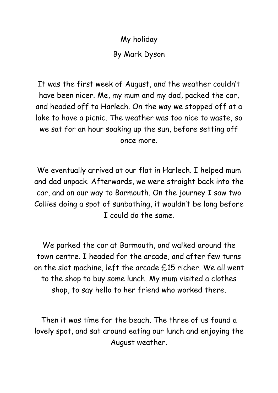My holiday By Mark Dyson

It was the first week of August, and the weather couldn't have been nicer. Me, my mum and my dad, packed the car, and headed off to Harlech. On the way we stopped off at a lake to have a picnic. The weather was too nice to waste, so we sat for an hour soaking up the sun, before setting off once more.

We eventually arrived at our flat in Harlech. I helped mum and dad unpack. Afterwards, we were straight back into the car, and on our way to Barmouth. On the journey I saw two Collies doing a spot of sunbathing, it wouldn't be long before I could do the same.

We parked the car at Barmouth, and walked around the town centre. I headed for the arcade, and after few turns on the slot machine, left the arcade £15 richer. We all went to the shop to buy some lunch. My mum visited a clothes shop, to say hello to her friend who worked there.

Then it was time for the beach. The three of us found a lovely spot, and sat around eating our lunch and enjoying the August weather.